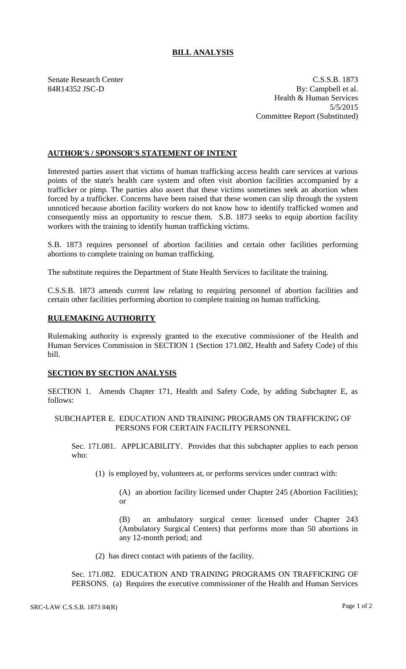## **BILL ANALYSIS**

Senate Research Center C.S.S.B. 1873 84R14352 JSC-D By: Campbell et al. Health & Human Services 5/5/2015 Committee Report (Substituted)

## **AUTHOR'S / SPONSOR'S STATEMENT OF INTENT**

Interested parties assert that victims of human trafficking access health care services at various points of the state's health care system and often visit abortion facilities accompanied by a trafficker or pimp. The parties also assert that these victims sometimes seek an abortion when forced by a trafficker. Concerns have been raised that these women can slip through the system unnoticed because abortion facility workers do not know how to identify trafficked women and consequently miss an opportunity to rescue them. S.B. 1873 seeks to equip abortion facility workers with the training to identify human trafficking victims.

S.B. 1873 requires personnel of abortion facilities and certain other facilities performing abortions to complete training on human trafficking.

The substitute requires the Department of State Health Services to facilitate the training.

C.S.S.B. 1873 amends current law relating to requiring personnel of abortion facilities and certain other facilities performing abortion to complete training on human trafficking.

## **RULEMAKING AUTHORITY**

Rulemaking authority is expressly granted to the executive commissioner of the Health and Human Services Commission in SECTION 1 (Section 171.082, Health and Safety Code) of this bill.

## **SECTION BY SECTION ANALYSIS**

SECTION 1. Amends Chapter 171, Health and Safety Code, by adding Subchapter E, as follows:

SUBCHAPTER E. EDUCATION AND TRAINING PROGRAMS ON TRAFFICKING OF PERSONS FOR CERTAIN FACILITY PERSONNEL

Sec. 171.081. APPLICABILITY. Provides that this subchapter applies to each person who:

(1) is employed by, volunteers at, or performs services under contract with:

(A) an abortion facility licensed under Chapter 245 (Abortion Facilities); or

(B) an ambulatory surgical center licensed under Chapter 243 (Ambulatory Surgical Centers) that performs more than 50 abortions in any 12-month period; and

(2) has direct contact with patients of the facility.

Sec. 171.082. EDUCATION AND TRAINING PROGRAMS ON TRAFFICKING OF PERSONS. (a) Requires the executive commissioner of the Health and Human Services